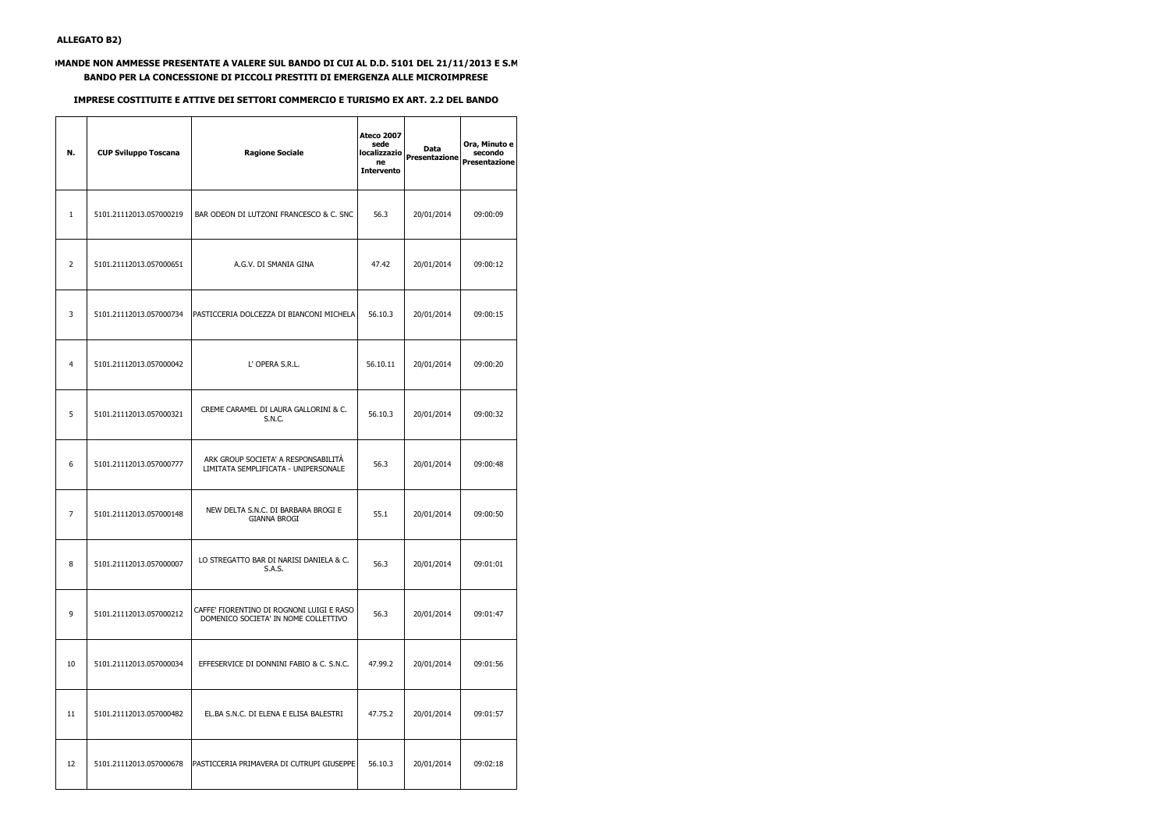## **DMANDE NON AMMESSE PRESENTATE A VALERE SUL BANDO DI CUI AL D.D. 5101 DEL 21/11/2013 E S.M. BANDO PER LA CONCESSIONE DI PICCOLI PRESTITI DI EMERGENZA ALLE MICROIMPRESE**

## **IMPRESE COSTITUITE E ATTIVE DEI SETTORI COMMERCIO E TURISMO EX ART. 2.2 DEL BANDO**

| N.             | <b>CUP Sviluppo Toscana</b> | <b>Ragione Sociale</b>                                                            | <b>Ateco 2007</b><br>sede<br>localizzazio<br>ne<br><b>Intervento</b> | Data<br>Presentazione | Ora, Minuto e<br>secondo<br><b>Presentazione</b> |
|----------------|-----------------------------|-----------------------------------------------------------------------------------|----------------------------------------------------------------------|-----------------------|--------------------------------------------------|
| $\mathbf{1}$   | 5101.21112013.057000219     | BAR ODEON DI LUTZONI FRANCESCO & C. SNC                                           | 56.3                                                                 | 20/01/2014            | 09:00:09                                         |
| $\overline{2}$ | 5101.21112013.057000651     | A.G.V. DI SMANIA GINA                                                             | 47.42                                                                | 20/01/2014            | 09:00:12                                         |
| 3              | 5101.21112013.057000734     | PASTICCERIA DOLCEZZA DI BIANCONI MICHELA                                          | 56.10.3                                                              | 20/01/2014            | 09:00:15                                         |
| 4              | 5101.21112013.057000042     | L' OPERA S.R.L.                                                                   | 56.10.11                                                             | 20/01/2014            | 09:00:20                                         |
| 5              | 5101.21112013.057000321     | CREME CARAMEL DI LAURA GALLORINI & C.<br>S.N.C.                                   | 56.10.3                                                              | 20/01/2014            | 09:00:32                                         |
| 6              | 5101.21112013.057000777     | ARK GROUP SOCIETA' A RESPONSABILITÀ<br>LIMITATA SEMPLIFICATA - UNIPERSONALE       | 56.3                                                                 | 20/01/2014            | 09:00:48                                         |
| 7              | 5101.21112013.057000148     | NEW DELTA S.N.C. DI BARBARA BROGI E<br><b>GIANNA BROGI</b>                        | 55.1                                                                 | 20/01/2014            | 09:00:50                                         |
| 8              | 5101.21112013.057000007     | LO STREGATTO BAR DI NARISI DANIELA & C.<br>S.A.S.                                 | 56.3                                                                 | 20/01/2014            | 09:01:01                                         |
| 9              | 5101.21112013.057000212     | CAFFE' FIORENTINO DI ROGNONI LUIGI E RASO<br>DOMENICO SOCIETA' IN NOME COLLETTIVO | 56.3                                                                 | 20/01/2014            | 09:01:47                                         |
| 10             | 5101.21112013.057000034     | EFFESERVICE DI DONNINI FABIO & C. S.N.C.                                          | 47.99.2                                                              | 20/01/2014            | 09:01:56                                         |
| 11             | 5101.21112013.057000482     | EL.BA S.N.C. DI ELENA E ELISA BALESTRI                                            | 47.75.2                                                              | 20/01/2014            | 09:01:57                                         |
| 12             | 5101.21112013.057000678     | PASTICCERIA PRIMAVERA DI CUTRUPI GIUSEPPE                                         | 56.10.3                                                              | 20/01/2014            | 09:02:18                                         |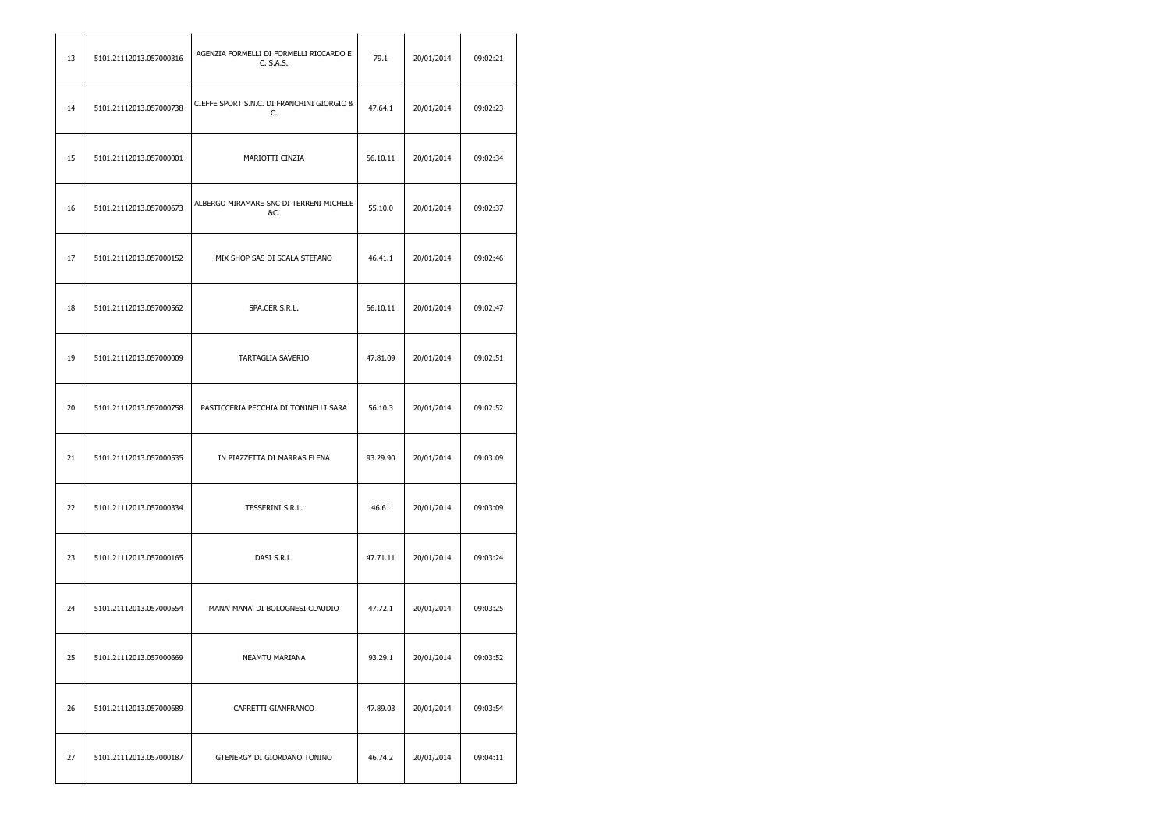| 13 | 5101.21112013.057000316 | AGENZIA FORMELLI DI FORMELLI RICCARDO E<br>C. S.A.S. | 79.1     | 20/01/2014 | 09:02:21 |
|----|-------------------------|------------------------------------------------------|----------|------------|----------|
| 14 | 5101.21112013.057000738 | CIEFFE SPORT S.N.C. DI FRANCHINI GIORGIO &<br>C.     | 47.64.1  | 20/01/2014 | 09:02:23 |
| 15 | 5101.21112013.057000001 | MARIOTTI CINZIA                                      | 56.10.11 | 20/01/2014 | 09:02:34 |
| 16 | 5101.21112013.057000673 | ALBERGO MIRAMARE SNC DI TERRENI MICHELE<br>&C.       | 55.10.0  | 20/01/2014 | 09:02:37 |
| 17 | 5101.21112013.057000152 | MIX SHOP SAS DI SCALA STEFANO                        | 46.41.1  | 20/01/2014 | 09:02:46 |
| 18 | 5101.21112013.057000562 | SPA.CER S.R.L.                                       | 56.10.11 | 20/01/2014 | 09:02:47 |
| 19 | 5101.21112013.057000009 | TARTAGLIA SAVERIO                                    | 47.81.09 | 20/01/2014 | 09:02:51 |
| 20 | 5101.21112013.057000758 | PASTICCERIA PECCHIA DI TONINELLI SARA                | 56.10.3  | 20/01/2014 | 09:02:52 |
| 21 | 5101.21112013.057000535 | IN PIAZZETTA DI MARRAS ELENA                         | 93.29.90 | 20/01/2014 | 09:03:09 |
| 22 | 5101.21112013.057000334 | TESSERINI S.R.L.                                     | 46.61    | 20/01/2014 | 09:03:09 |
| 23 | 5101.21112013.057000165 | DASI S.R.L.                                          | 47.71.11 | 20/01/2014 | 09:03:24 |
| 24 | 5101.21112013.057000554 | MANA' MANA' DI BOLOGNESI CLAUDIO                     | 47.72.1  | 20/01/2014 | 09:03:25 |
| 25 | 5101.21112013.057000669 | NEAMTU MARIANA                                       | 93.29.1  | 20/01/2014 | 09:03:52 |
| 26 | 5101.21112013.057000689 | CAPRETTI GIANFRANCO                                  | 47.89.03 | 20/01/2014 | 09:03:54 |
| 27 | 5101.21112013.057000187 | GTENERGY DI GIORDANO TONINO                          | 46.74.2  | 20/01/2014 | 09:04:11 |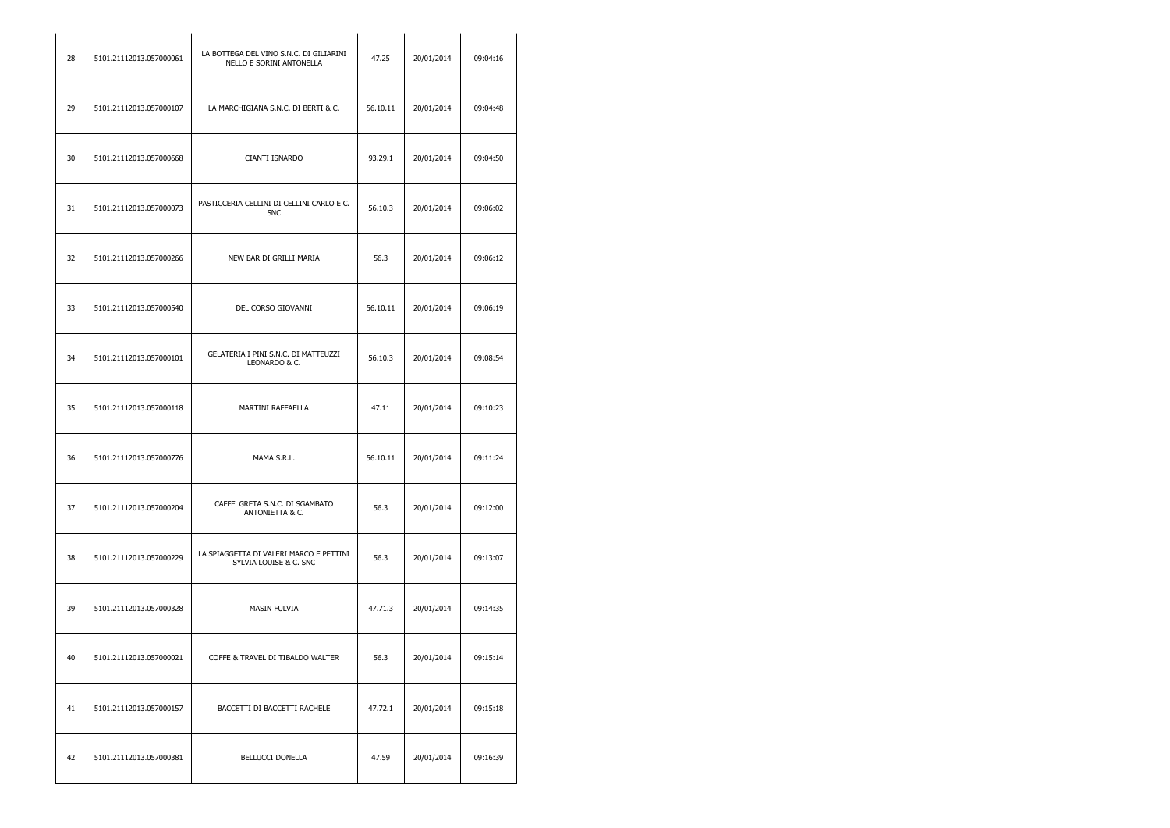| 28 | 5101.21112013.057000061 | LA BOTTEGA DEL VINO S.N.C. DI GILIARINI<br>NELLO E SORINI ANTONELLA | 47.25    | 20/01/2014 | 09:04:16 |
|----|-------------------------|---------------------------------------------------------------------|----------|------------|----------|
| 29 | 5101.21112013.057000107 | LA MARCHIGIANA S.N.C. DI BERTI & C.                                 | 56.10.11 | 20/01/2014 | 09:04:48 |
| 30 | 5101.21112013.057000668 | CIANTI ISNARDO                                                      | 93.29.1  | 20/01/2014 | 09:04:50 |
| 31 | 5101.21112013.057000073 | PASTICCERIA CELLINI DI CELLINI CARLO E C.<br><b>SNC</b>             | 56.10.3  | 20/01/2014 | 09:06:02 |
| 32 | 5101.21112013.057000266 | NEW BAR DI GRILLI MARIA                                             | 56.3     | 20/01/2014 | 09:06:12 |
| 33 | 5101.21112013.057000540 | DEL CORSO GIOVANNI                                                  | 56.10.11 | 20/01/2014 | 09:06:19 |
| 34 | 5101.21112013.057000101 | GELATERIA I PINI S.N.C. DI MATTEUZZI<br>LEONARDO & C.               | 56.10.3  | 20/01/2014 | 09:08:54 |
| 35 | 5101.21112013.057000118 | MARTINI RAFFAELLA                                                   | 47.11    | 20/01/2014 | 09:10:23 |
| 36 | 5101.21112013.057000776 | MAMA S.R.L.                                                         | 56.10.11 | 20/01/2014 | 09:11:24 |
| 37 | 5101.21112013.057000204 | CAFFE' GRETA S.N.C. DI SGAMBATO<br>ANTONIETTA & C.                  | 56.3     | 20/01/2014 | 09:12:00 |
| 38 | 5101.21112013.057000229 | LA SPIAGGETTA DI VALERI MARCO E PETTINI<br>SYLVIA LOUISE & C. SNC   | 56.3     | 20/01/2014 | 09:13:07 |
| 39 | 5101.21112013.057000328 | <b>MASIN FULVIA</b>                                                 | 47.71.3  | 20/01/2014 | 09:14:35 |
| 40 | 5101.21112013.057000021 | COFFE & TRAVEL DI TIBALDO WALTER                                    | 56.3     | 20/01/2014 | 09:15:14 |
| 41 | 5101.21112013.057000157 | BACCETTI DI BACCETTI RACHELE                                        | 47.72.1  | 20/01/2014 | 09:15:18 |
| 42 | 5101.21112013.057000381 | <b>BELLUCCI DONELLA</b>                                             | 47.59    | 20/01/2014 | 09:16:39 |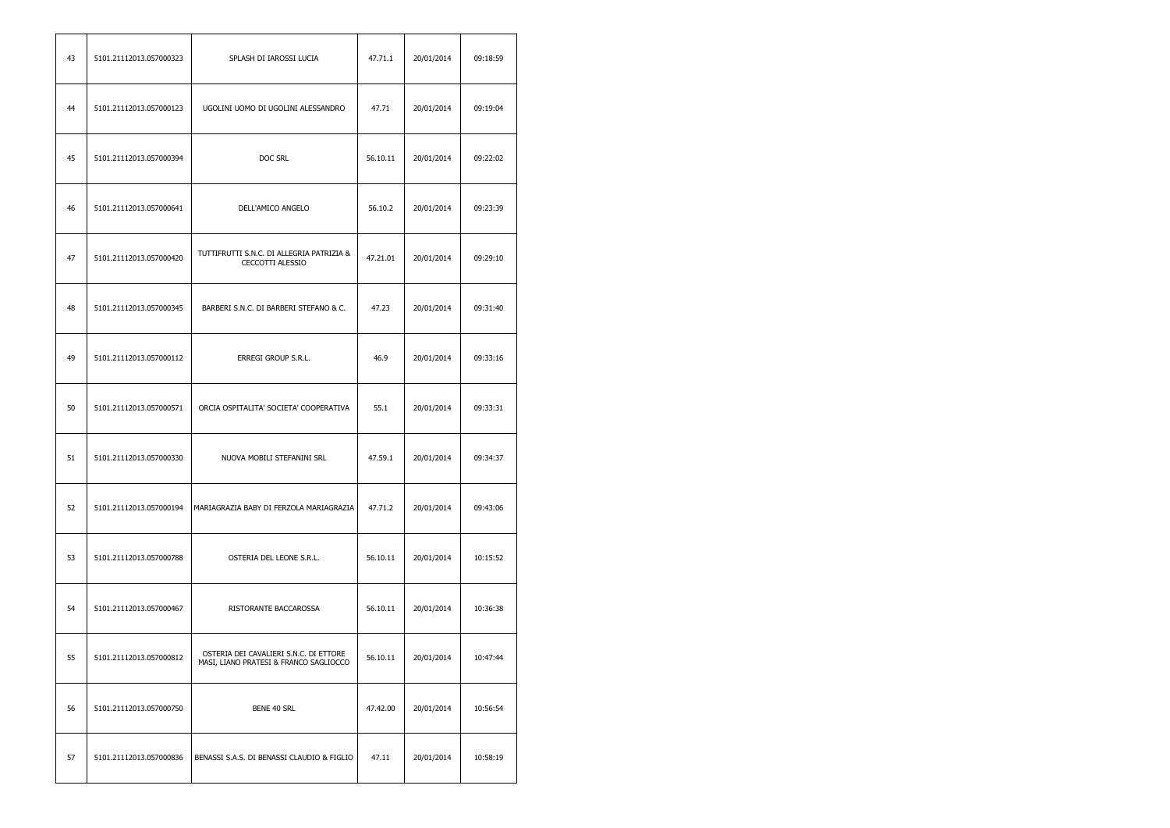| 43 | 5101.21112013.057000323 | SPLASH DI IAROSSI LUCIA                                                          | 47.71.1  | 20/01/2014 | 09:18:59 |
|----|-------------------------|----------------------------------------------------------------------------------|----------|------------|----------|
| 44 | 5101.21112013.057000123 | UGOLINI UOMO DI UGOLINI ALESSANDRO                                               | 47.71    | 20/01/2014 | 09:19:04 |
| 45 | 5101.21112013.057000394 | DOC SRL                                                                          | 56.10.11 | 20/01/2014 | 09:22:02 |
| 46 | 5101.21112013.057000641 | DELL'AMICO ANGELO                                                                | 56.10.2  | 20/01/2014 | 09:23:39 |
| 47 | 5101.21112013.057000420 | TUTTIFRUTTI S.N.C. DI ALLEGRIA PATRIZIA &<br>CECCOTTI ALESSIO                    | 47.21.01 | 20/01/2014 | 09:29:10 |
| 48 | 5101.21112013.057000345 | BARBERI S.N.C. DI BARBERI STEFANO & C.                                           | 47.23    | 20/01/2014 | 09:31:40 |
| 49 | 5101.21112013.057000112 | ERREGI GROUP S.R.L.                                                              | 46.9     | 20/01/2014 | 09:33:16 |
| 50 | 5101.21112013.057000571 | ORCIA OSPITALITA' SOCIETA' COOPERATIVA                                           | 55.1     | 20/01/2014 | 09:33:31 |
| 51 | 5101.21112013.057000330 | NUOVA MOBILI STEFANINI SRL                                                       | 47.59.1  | 20/01/2014 | 09:34:37 |
| 52 | 5101.21112013.057000194 | MARIAGRAZIA BABY DI FERZOLA MARIAGRAZIA                                          | 47.71.2  | 20/01/2014 | 09:43:06 |
| 53 | 5101.21112013.057000788 | OSTERIA DEL LEONE S.R.L.                                                         | 56.10.11 | 20/01/2014 | 10:15:52 |
| 54 | 5101.21112013.057000467 | RISTORANTE BACCAROSSA                                                            | 56.10.11 | 20/01/2014 | 10:36:38 |
| 55 | 5101.21112013.057000812 | OSTERIA DEI CAVALIERI S.N.C. DI ETTORE<br>MASI, LIANO PRATESI & FRANCO SAGLIOCCO | 56.10.11 | 20/01/2014 | 10:47:44 |
| 56 | 5101.21112013.057000750 | BENE 40 SRL                                                                      | 47.42.00 | 20/01/2014 | 10:56:54 |
| 57 | 5101.21112013.057000836 | BENASSI S.A.S. DI BENASSI CLAUDIO & FIGLIO                                       | 47.11    | 20/01/2014 | 10:58:19 |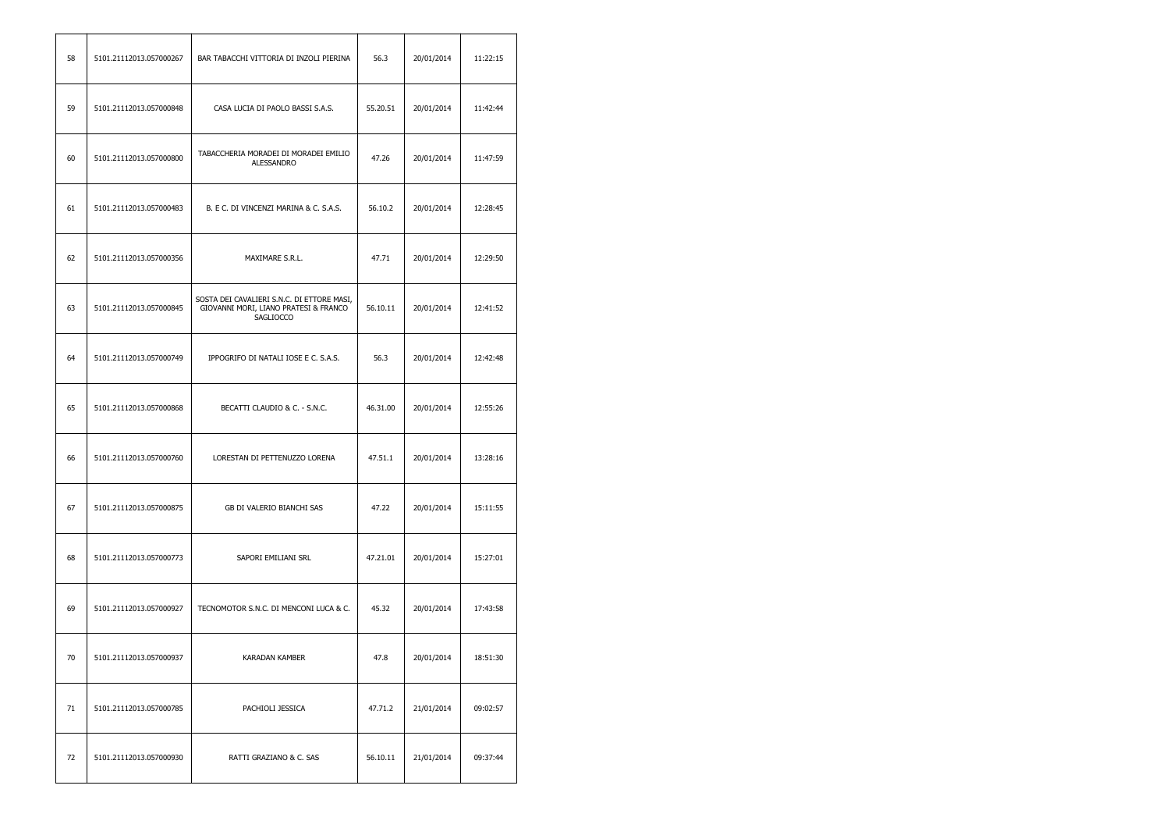| 58 | 5101.21112013.057000267 | BAR TABACCHI VITTORIA DI INZOLI PIERINA                                                          | 56.3     | 20/01/2014 | 11:22:15 |
|----|-------------------------|--------------------------------------------------------------------------------------------------|----------|------------|----------|
| 59 | 5101.21112013.057000848 | CASA LUCIA DI PAOLO BASSI S.A.S.                                                                 | 55.20.51 | 20/01/2014 | 11:42:44 |
| 60 | 5101.21112013.057000800 | TABACCHERIA MORADEI DI MORADEI EMILIO<br>ALESSANDRO                                              | 47.26    | 20/01/2014 | 11:47:59 |
| 61 | 5101.21112013.057000483 | B. E C. DI VINCENZI MARINA & C. S.A.S.                                                           | 56.10.2  | 20/01/2014 | 12:28:45 |
| 62 | 5101.21112013.057000356 | MAXIMARE S.R.L.                                                                                  | 47.71    | 20/01/2014 | 12:29:50 |
| 63 | 5101.21112013.057000845 | SOSTA DEI CAVALIERI S.N.C. DI ETTORE MASI,<br>GIOVANNI MORI, LIANO PRATESI & FRANCO<br>SAGLIOCCO | 56.10.11 | 20/01/2014 | 12:41:52 |
| 64 | 5101.21112013.057000749 | IPPOGRIFO DI NATALI IOSE E C. S.A.S.                                                             | 56.3     | 20/01/2014 | 12:42:48 |
| 65 | 5101.21112013.057000868 | BECATTI CLAUDIO & C. - S.N.C.                                                                    | 46.31.00 | 20/01/2014 | 12:55:26 |
| 66 | 5101.21112013.057000760 | LORESTAN DI PETTENUZZO LORENA                                                                    | 47.51.1  | 20/01/2014 | 13:28:16 |
| 67 | 5101.21112013.057000875 | GB DI VALERIO BIANCHI SAS                                                                        | 47.22    | 20/01/2014 | 15:11:55 |
| 68 | 5101.21112013.057000773 | SAPORI EMILIANI SRL                                                                              | 47.21.01 | 20/01/2014 | 15:27:01 |
| 69 | 5101.21112013.057000927 | TECNOMOTOR S.N.C. DI MENCONI LUCA & C.                                                           | 45.32    | 20/01/2014 | 17:43:58 |
| 70 | 5101.21112013.057000937 | KARADAN KAMBER                                                                                   | 47.8     | 20/01/2014 | 18:51:30 |
| 71 | 5101.21112013.057000785 | PACHIOLI JESSICA                                                                                 | 47.71.2  | 21/01/2014 | 09:02:57 |
| 72 | 5101.21112013.057000930 | RATTI GRAZIANO & C. SAS                                                                          | 56.10.11 | 21/01/2014 | 09:37:44 |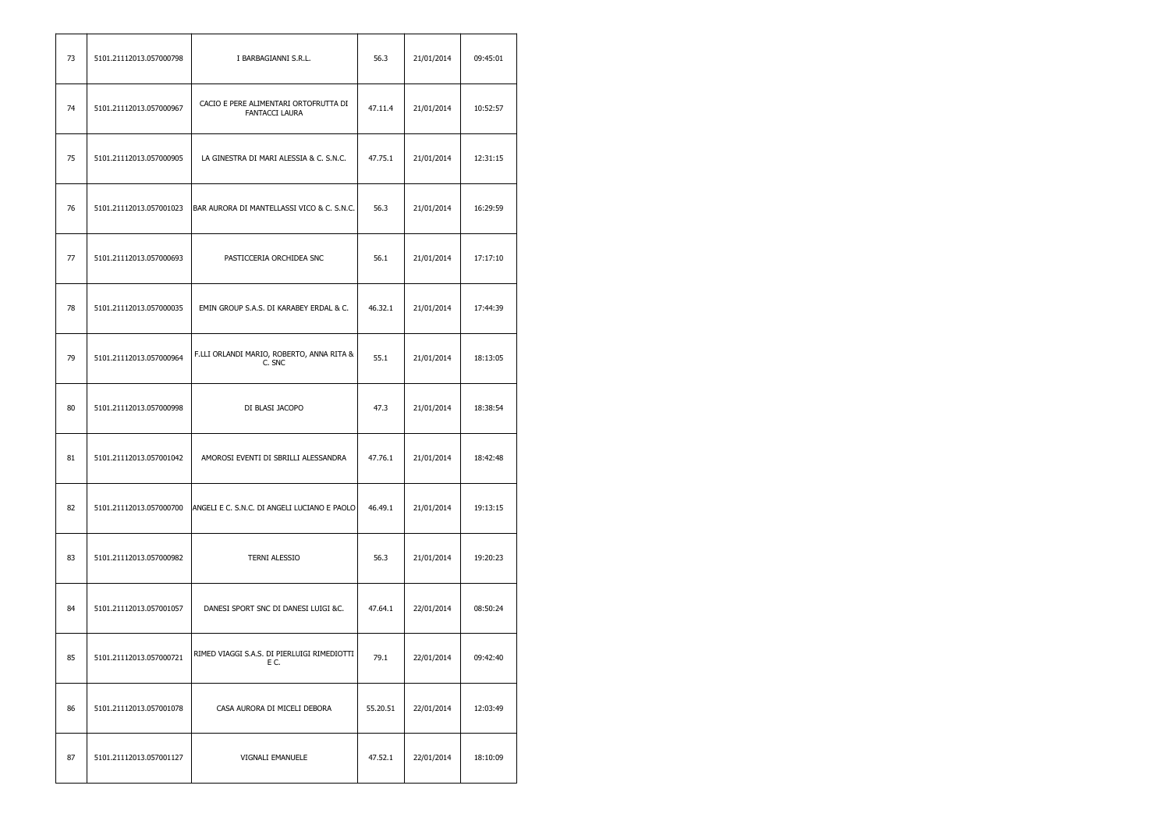| 73 | 5101.21112013.057000798 | I BARBAGIANNI S.R.L.                                    | 56.3     | 21/01/2014 | 09:45:01 |
|----|-------------------------|---------------------------------------------------------|----------|------------|----------|
| 74 | 5101.21112013.057000967 | CACIO E PERE ALIMENTARI ORTOFRUTTA DI<br>FANTACCI LAURA | 47.11.4  | 21/01/2014 | 10:52:57 |
| 75 | 5101.21112013.057000905 | LA GINESTRA DI MARI ALESSIA & C. S.N.C.                 | 47.75.1  | 21/01/2014 | 12:31:15 |
| 76 | 5101.21112013.057001023 | BAR AURORA DI MANTELLASSI VICO & C. S.N.C.              | 56.3     | 21/01/2014 | 16:29:59 |
| 77 | 5101.21112013.057000693 | PASTICCERIA ORCHIDEA SNC                                | 56.1     | 21/01/2014 | 17:17:10 |
| 78 | 5101.21112013.057000035 | EMIN GROUP S.A.S. DI KARABEY ERDAL & C.                 | 46.32.1  | 21/01/2014 | 17:44:39 |
| 79 | 5101.21112013.057000964 | F.LLI ORLANDI MARIO, ROBERTO, ANNA RITA &<br>C. SNC     | 55.1     | 21/01/2014 | 18:13:05 |
| 80 | 5101.21112013.057000998 | DI BLASI JACOPO                                         | 47.3     | 21/01/2014 | 18:38:54 |
| 81 | 5101.21112013.057001042 | AMOROSI EVENTI DI SBRILLI ALESSANDRA                    | 47.76.1  | 21/01/2014 | 18:42:48 |
| 82 | 5101.21112013.057000700 | ANGELI E C. S.N.C. DI ANGELI LUCIANO E PAOLO            | 46.49.1  | 21/01/2014 | 19:13:15 |
| 83 | 5101.21112013.057000982 | <b>TERNI ALESSIO</b>                                    | 56.3     | 21/01/2014 | 19:20:23 |
| 84 | 5101.21112013.057001057 | DANESI SPORT SNC DI DANESI LUIGI &C.                    | 47.64.1  | 22/01/2014 | 08:50:24 |
| 85 | 5101.21112013.057000721 | RIMED VIAGGI S.A.S. DI PIERLUIGI RIMEDIOTTI<br>EC.      | 79.1     | 22/01/2014 | 09:42:40 |
| 86 | 5101.21112013.057001078 | CASA AURORA DI MICELI DEBORA                            | 55.20.51 | 22/01/2014 | 12:03:49 |
| 87 | 5101.21112013.057001127 | VIGNALI EMANUELE                                        | 47.52.1  | 22/01/2014 | 18:10:09 |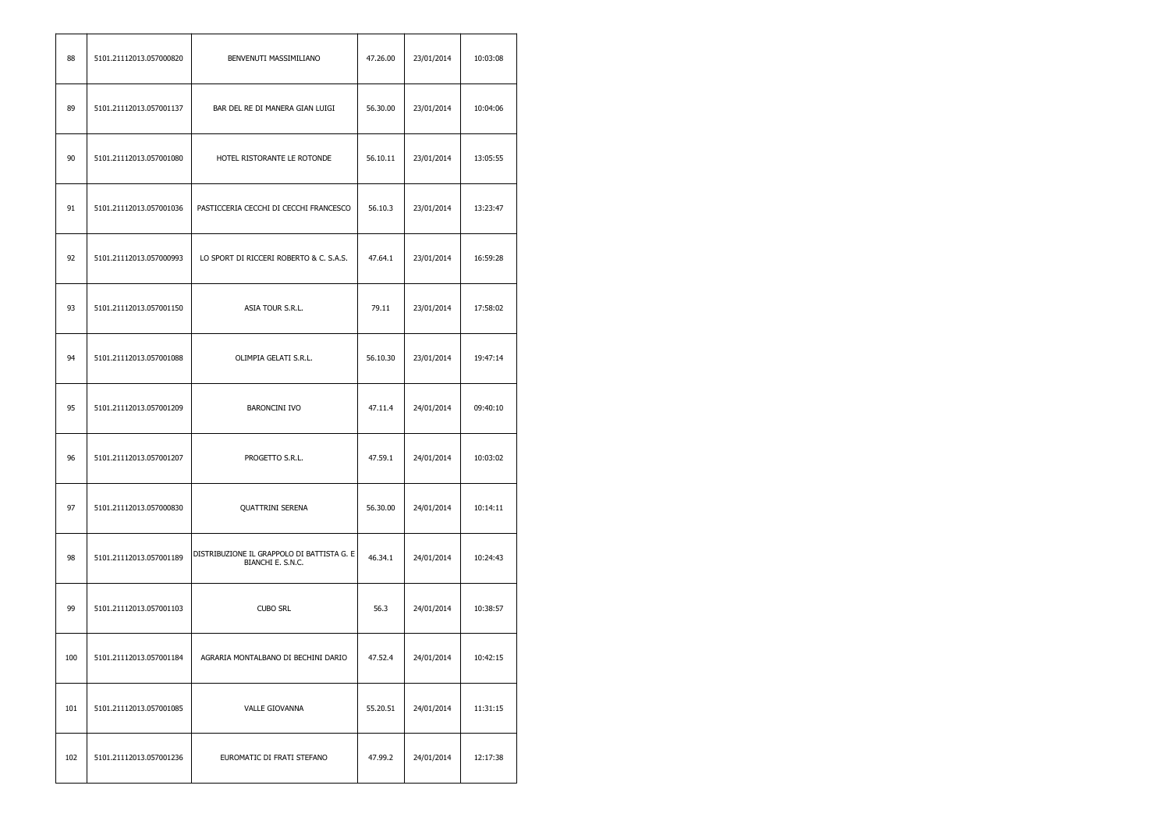| 88  | 5101.21112013.057000820 | BENVENUTI MASSIMILIANO                                          | 47.26.00 | 23/01/2014 | 10:03:08 |
|-----|-------------------------|-----------------------------------------------------------------|----------|------------|----------|
| 89  | 5101.21112013.057001137 | BAR DEL RE DI MANERA GIAN LUIGI                                 | 56.30.00 | 23/01/2014 | 10:04:06 |
| 90  | 5101.21112013.057001080 | HOTEL RISTORANTE LE ROTONDE                                     | 56.10.11 | 23/01/2014 | 13:05:55 |
| 91  | 5101.21112013.057001036 | PASTICCERIA CECCHI DI CECCHI FRANCESCO                          | 56.10.3  | 23/01/2014 | 13:23:47 |
| 92  | 5101.21112013.057000993 | LO SPORT DI RICCERI ROBERTO & C. S.A.S.                         | 47.64.1  | 23/01/2014 | 16:59:28 |
| 93  | 5101.21112013.057001150 | ASIA TOUR S.R.L.                                                | 79.11    | 23/01/2014 | 17:58:02 |
| 94  | 5101.21112013.057001088 | OLIMPIA GELATI S.R.L.                                           | 56.10.30 | 23/01/2014 | 19:47:14 |
| 95  | 5101.21112013.057001209 | <b>BARONCINI IVO</b>                                            | 47.11.4  | 24/01/2014 | 09:40:10 |
| 96  | 5101.21112013.057001207 | PROGETTO S.R.L.                                                 | 47.59.1  | 24/01/2014 | 10:03:02 |
| 97  | 5101.21112013.057000830 | <b>QUATTRINI SERENA</b>                                         | 56.30.00 | 24/01/2014 | 10:14:11 |
| 98  | 5101.21112013.057001189 | DISTRIBUZIONE IL GRAPPOLO DI BATTISTA G. E<br>BIANCHI E. S.N.C. | 46.34.1  | 24/01/2014 | 10:24:43 |
| 99  | 5101.21112013.057001103 | <b>CUBO SRL</b>                                                 | 56.3     | 24/01/2014 | 10:38:57 |
| 100 | 5101.21112013.057001184 | AGRARIA MONTALBANO DI BECHINI DARIO                             | 47.52.4  | 24/01/2014 | 10:42:15 |
| 101 | 5101.21112013.057001085 | <b>VALLE GIOVANNA</b>                                           | 55.20.51 | 24/01/2014 | 11:31:15 |
| 102 | 5101.21112013.057001236 | EUROMATIC DI FRATI STEFANO                                      | 47.99.2  | 24/01/2014 | 12:17:38 |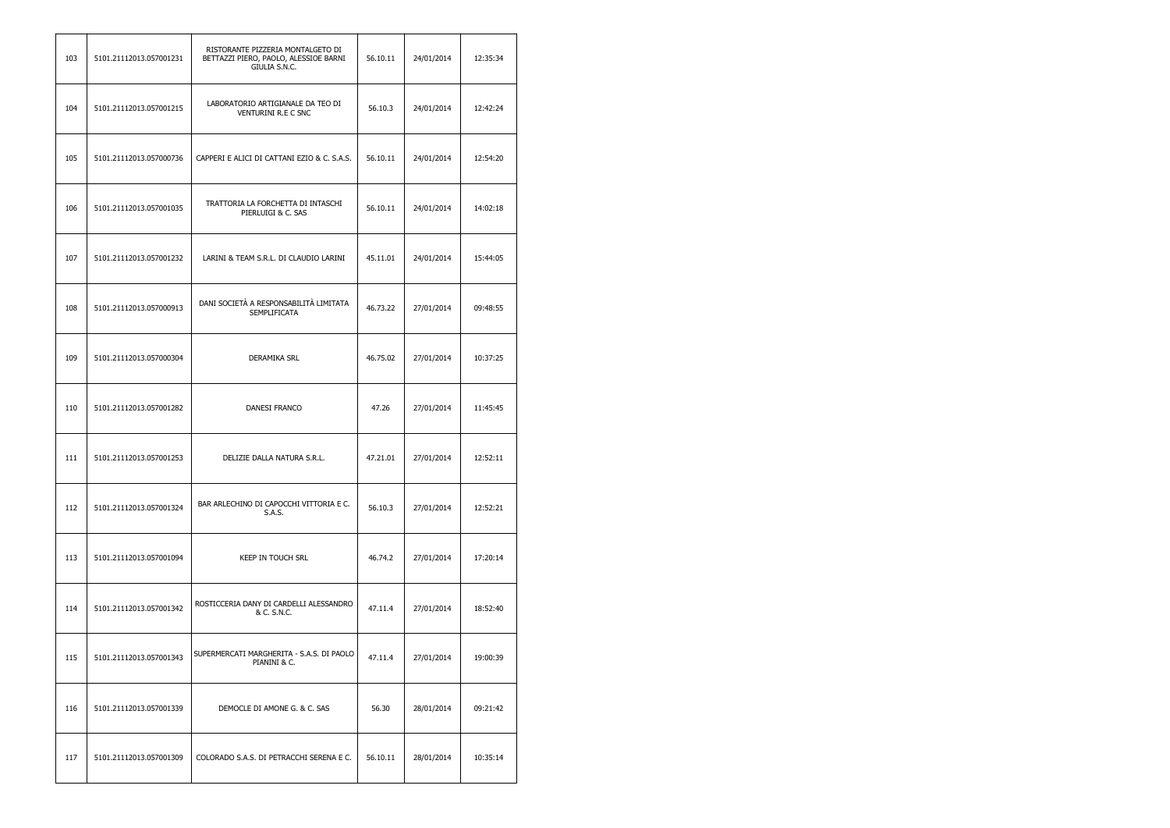| 103 | 5101.21112013.057001231 | RISTORANTE PIZZERIA MONTALGETO DI<br>BETTAZZI PIERO, PAOLO, ALESSIOE BARNI<br>GIULIA S.N.C. | 56.10.11 | 24/01/2014 | 12:35:34 |
|-----|-------------------------|---------------------------------------------------------------------------------------------|----------|------------|----------|
| 104 | 5101.21112013.057001215 | LABORATORIO ARTIGIANALE DA TEO DI<br><b>VENTURINI R.E C SNC</b>                             | 56.10.3  | 24/01/2014 | 12:42:24 |
| 105 | 5101.21112013.057000736 | CAPPERI E ALICI DI CATTANI EZIO & C. S.A.S.                                                 | 56.10.11 | 24/01/2014 | 12:54:20 |
| 106 | 5101.21112013.057001035 | TRATTORIA LA FORCHETTA DI INTASCHI<br>PIERLUIGI & C. SAS                                    | 56.10.11 | 24/01/2014 | 14:02:18 |
| 107 | 5101.21112013.057001232 | LARINI & TEAM S.R.L. DI CLAUDIO LARINI                                                      | 45.11.01 | 24/01/2014 | 15:44:05 |
| 108 | 5101.21112013.057000913 | DANI SOCIETÀ A RESPONSABILITÀ LIMITATA<br><b>SEMPLIFICATA</b>                               | 46.73.22 | 27/01/2014 | 09:48:55 |
| 109 | 5101.21112013.057000304 | DERAMIKA SRL                                                                                | 46.75.02 | 27/01/2014 | 10:37:25 |
| 110 | 5101.21112013.057001282 | DANESI FRANCO                                                                               | 47.26    | 27/01/2014 | 11:45:45 |
| 111 | 5101.21112013.057001253 | DELIZIE DALLA NATURA S.R.L.                                                                 | 47.21.01 | 27/01/2014 | 12:52:11 |
| 112 | 5101.21112013.057001324 | BAR ARLECHINO DI CAPOCCHI VITTORIA E C.<br>S.A.S.                                           | 56.10.3  | 27/01/2014 | 12:52:21 |
| 113 | 5101.21112013.057001094 | KEEP IN TOUCH SRL                                                                           | 46.74.2  | 27/01/2014 | 17:20:14 |
| 114 | 5101.21112013.057001342 | ROSTICCERIA DANY DI CARDELLI ALESSANDRO<br>& C. S.N.C.                                      | 47.11.4  | 27/01/2014 | 18:52:40 |
| 115 | 5101.21112013.057001343 | SUPERMERCATI MARGHERITA - S.A.S. DI PAOLO<br>PIANINI & C.                                   | 47.11.4  | 27/01/2014 | 19:00:39 |
| 116 | 5101.21112013.057001339 | DEMOCLE DI AMONE G. & C. SAS                                                                | 56.30    | 28/01/2014 | 09:21:42 |
| 117 | 5101.21112013.057001309 | COLORADO S.A.S. DI PETRACCHI SERENA E C.                                                    | 56.10.11 | 28/01/2014 | 10:35:14 |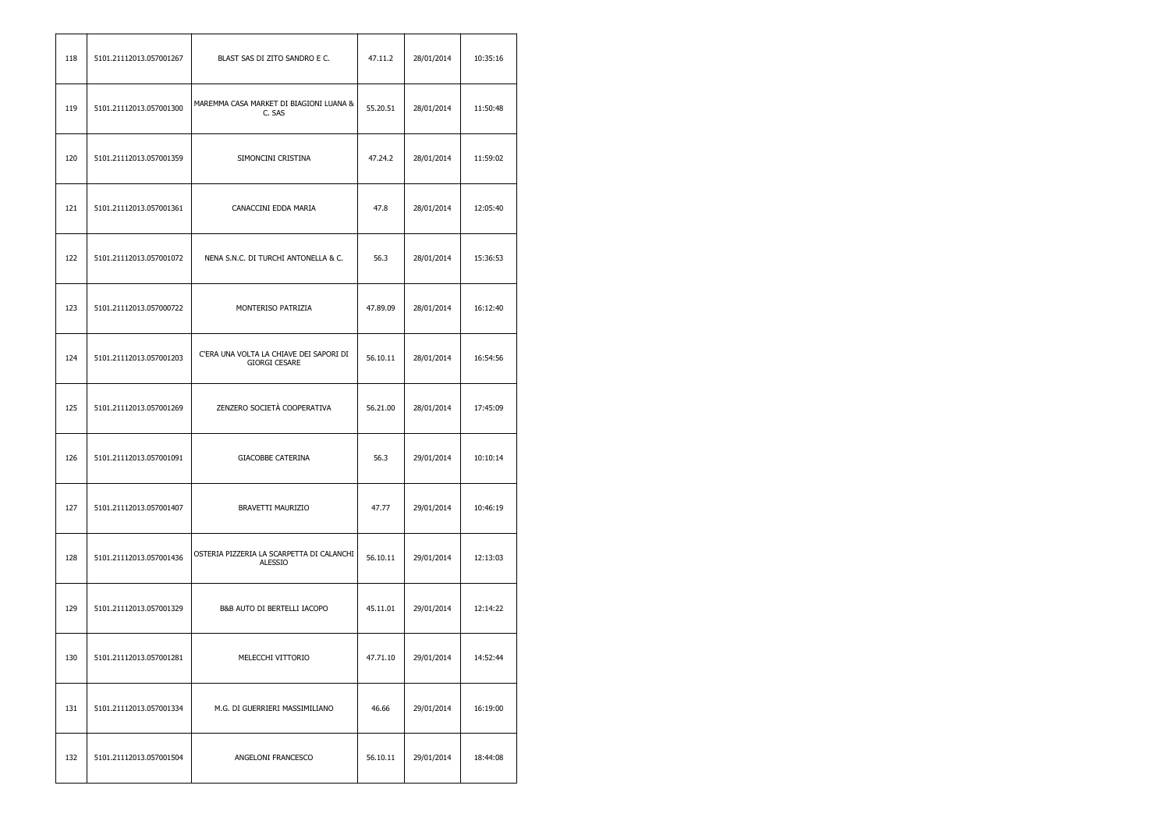| 118 | 5101.21112013.057001267 | BLAST SAS DI ZITO SANDRO E C.                                   | 47.11.2  | 28/01/2014 | 10:35:16 |
|-----|-------------------------|-----------------------------------------------------------------|----------|------------|----------|
| 119 | 5101.21112013.057001300 | MAREMMA CASA MARKET DI BIAGIONI LUANA &<br>C. SAS               | 55.20.51 | 28/01/2014 | 11:50:48 |
| 120 | 5101.21112013.057001359 | SIMONCINI CRISTINA                                              | 47.24.2  | 28/01/2014 | 11:59:02 |
| 121 | 5101.21112013.057001361 | CANACCINI EDDA MARIA                                            | 47.8     | 28/01/2014 | 12:05:40 |
| 122 | 5101.21112013.057001072 | NENA S.N.C. DI TURCHI ANTONELLA & C.                            | 56.3     | 28/01/2014 | 15:36:53 |
| 123 | 5101.21112013.057000722 | MONTERISO PATRIZIA                                              | 47.89.09 | 28/01/2014 | 16:12:40 |
| 124 | 5101.21112013.057001203 | C'ERA UNA VOLTA LA CHIAVE DEI SAPORI DI<br><b>GIORGI CESARE</b> | 56.10.11 | 28/01/2014 | 16:54:56 |
| 125 | 5101.21112013.057001269 | ZENZERO SOCIETÀ COOPERATIVA                                     | 56.21.00 | 28/01/2014 | 17:45:09 |
| 126 | 5101.21112013.057001091 | <b>GIACOBBE CATERINA</b>                                        | 56.3     | 29/01/2014 | 10:10:14 |
| 127 | 5101.21112013.057001407 | BRAVETTI MAURIZIO                                               | 47.77    | 29/01/2014 | 10:46:19 |
| 128 | 5101.21112013.057001436 | OSTERIA PIZZERIA LA SCARPETTA DI CALANCHI<br><b>ALESSIO</b>     | 56.10.11 | 29/01/2014 | 12:13:03 |
| 129 | 5101.21112013.057001329 | B&B AUTO DI BERTELLI IACOPO                                     | 45.11.01 | 29/01/2014 | 12:14:22 |
| 130 | 5101.21112013.057001281 | MELECCHI VITTORIO                                               | 47.71.10 | 29/01/2014 | 14:52:44 |
| 131 | 5101.21112013.057001334 | M.G. DI GUERRIERI MASSIMILIANO                                  | 46.66    | 29/01/2014 | 16:19:00 |
| 132 | 5101.21112013.057001504 | ANGELONI FRANCESCO                                              | 56.10.11 | 29/01/2014 | 18:44:08 |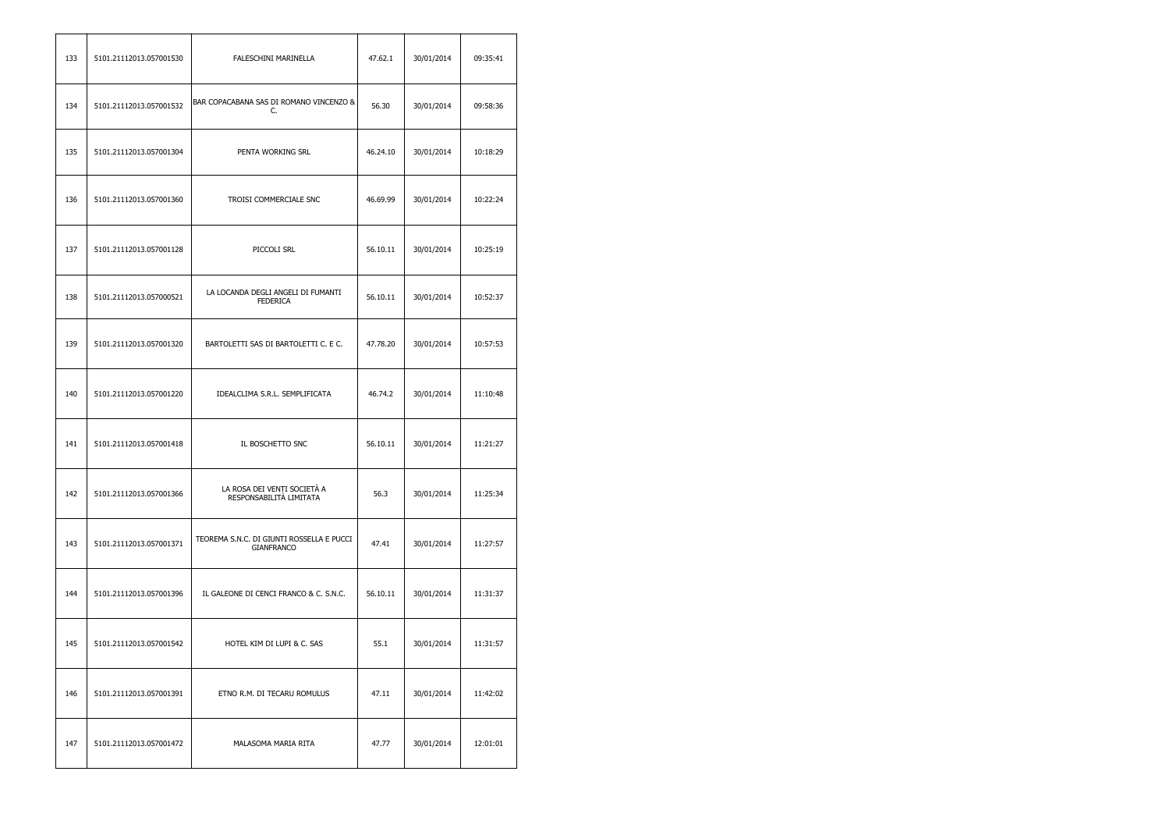| 133 | 5101.21112013.057001530 | FALESCHINI MARINELLA                                           | 47.62.1  | 30/01/2014 | 09:35:41 |
|-----|-------------------------|----------------------------------------------------------------|----------|------------|----------|
| 134 | 5101.21112013.057001532 | BAR COPACABANA SAS DI ROMANO VINCENZO &<br>C.                  | 56.30    | 30/01/2014 | 09:58:36 |
| 135 | 5101.21112013.057001304 | PENTA WORKING SRL                                              | 46.24.10 | 30/01/2014 | 10:18:29 |
| 136 | 5101.21112013.057001360 | TROISI COMMERCIALE SNC                                         | 46.69.99 | 30/01/2014 | 10:22:24 |
| 137 | 5101.21112013.057001128 | PICCOLI SRL                                                    | 56.10.11 | 30/01/2014 | 10:25:19 |
| 138 | 5101.21112013.057000521 | LA LOCANDA DEGLI ANGELI DI FUMANTI<br><b>FEDERICA</b>          | 56.10.11 | 30/01/2014 | 10:52:37 |
| 139 | 5101.21112013.057001320 | BARTOLETTI SAS DI BARTOLETTI C. E C.                           | 47.78.20 | 30/01/2014 | 10:57:53 |
| 140 | 5101.21112013.057001220 | IDEALCLIMA S.R.L. SEMPLIFICATA                                 | 46.74.2  | 30/01/2014 | 11:10:48 |
| 141 | 5101.21112013.057001418 | IL BOSCHETTO SNC                                               | 56.10.11 | 30/01/2014 | 11:21:27 |
| 142 | 5101.21112013.057001366 | LA ROSA DEI VENTI SOCIETÀ A<br>RESPONSABILITÀ LIMITATA         | 56.3     | 30/01/2014 | 11:25:34 |
| 143 | 5101.21112013.057001371 | TEOREMA S.N.C. DI GIUNTI ROSSELLA E PUCCI<br><b>GIANFRANCO</b> | 47.41    | 30/01/2014 | 11:27:57 |
| 144 | 5101.21112013.057001396 | IL GALEONE DI CENCI FRANCO & C. S.N.C.                         | 56.10.11 | 30/01/2014 | 11:31:37 |
| 145 | 5101.21112013.057001542 | HOTEL KIM DI LUPI & C. SAS                                     | 55.1     | 30/01/2014 | 11:31:57 |
| 146 | 5101.21112013.057001391 | ETNO R.M. DI TECARU ROMULUS                                    | 47.11    | 30/01/2014 | 11:42:02 |
| 147 | 5101.21112013.057001472 | MALASOMA MARIA RITA                                            | 47.77    | 30/01/2014 | 12:01:01 |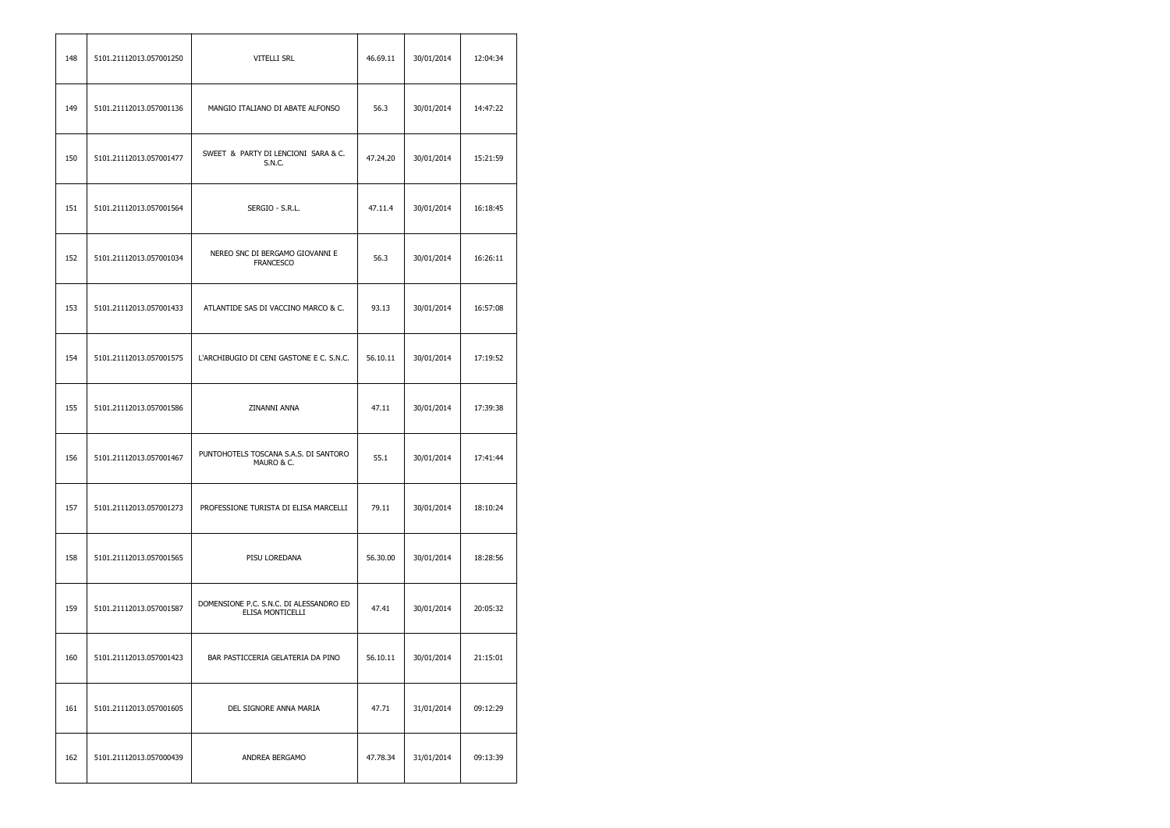| 148 | 5101.21112013.057001250 | VITELLI SRL                                                 | 46.69.11 | 30/01/2014 | 12:04:34 |
|-----|-------------------------|-------------------------------------------------------------|----------|------------|----------|
| 149 | 5101.21112013.057001136 | MANGIO ITALIANO DI ABATE ALFONSO                            | 56.3     | 30/01/2014 | 14:47:22 |
| 150 | 5101.21112013.057001477 | SWEET & PARTY DI LENCIONI SARA & C.<br>S.N.C.               | 47.24.20 | 30/01/2014 | 15:21:59 |
| 151 | 5101.21112013.057001564 | SERGIO - S.R.L.                                             | 47.11.4  | 30/01/2014 | 16:18:45 |
| 152 | 5101.21112013.057001034 | NEREO SNC DI BERGAMO GIOVANNI E<br><b>FRANCESCO</b>         | 56.3     | 30/01/2014 | 16:26:11 |
| 153 | 5101.21112013.057001433 | ATLANTIDE SAS DI VACCINO MARCO & C.                         | 93.13    | 30/01/2014 | 16:57:08 |
| 154 | 5101.21112013.057001575 | L'ARCHIBUGIO DI CENI GASTONE E C. S.N.C.                    | 56.10.11 | 30/01/2014 | 17:19:52 |
| 155 | 5101.21112013.057001586 | ZINANNI ANNA                                                | 47.11    | 30/01/2014 | 17:39:38 |
| 156 | 5101.21112013.057001467 | PUNTOHOTELS TOSCANA S.A.S. DI SANTORO<br>MAURO & C.         | 55.1     | 30/01/2014 | 17:41:44 |
| 157 | 5101.21112013.057001273 | PROFESSIONE TURISTA DI ELISA MARCELLI                       | 79.11    | 30/01/2014 | 18:10:24 |
| 158 | 5101.21112013.057001565 | PISU LOREDANA                                               | 56.30.00 | 30/01/2014 | 18:28:56 |
| 159 | 5101.21112013.057001587 | DOMENSIONE P.C. S.N.C. DI ALESSANDRO ED<br>ELISA MONTICELLI | 47.41    | 30/01/2014 | 20:05:32 |
| 160 | 5101.21112013.057001423 | BAR PASTICCERIA GELATERIA DA PINO                           | 56.10.11 | 30/01/2014 | 21:15:01 |
| 161 | 5101.21112013.057001605 | DEL SIGNORE ANNA MARIA                                      | 47.71    | 31/01/2014 | 09:12:29 |
| 162 | 5101.21112013.057000439 | ANDREA BERGAMO                                              | 47.78.34 | 31/01/2014 | 09:13:39 |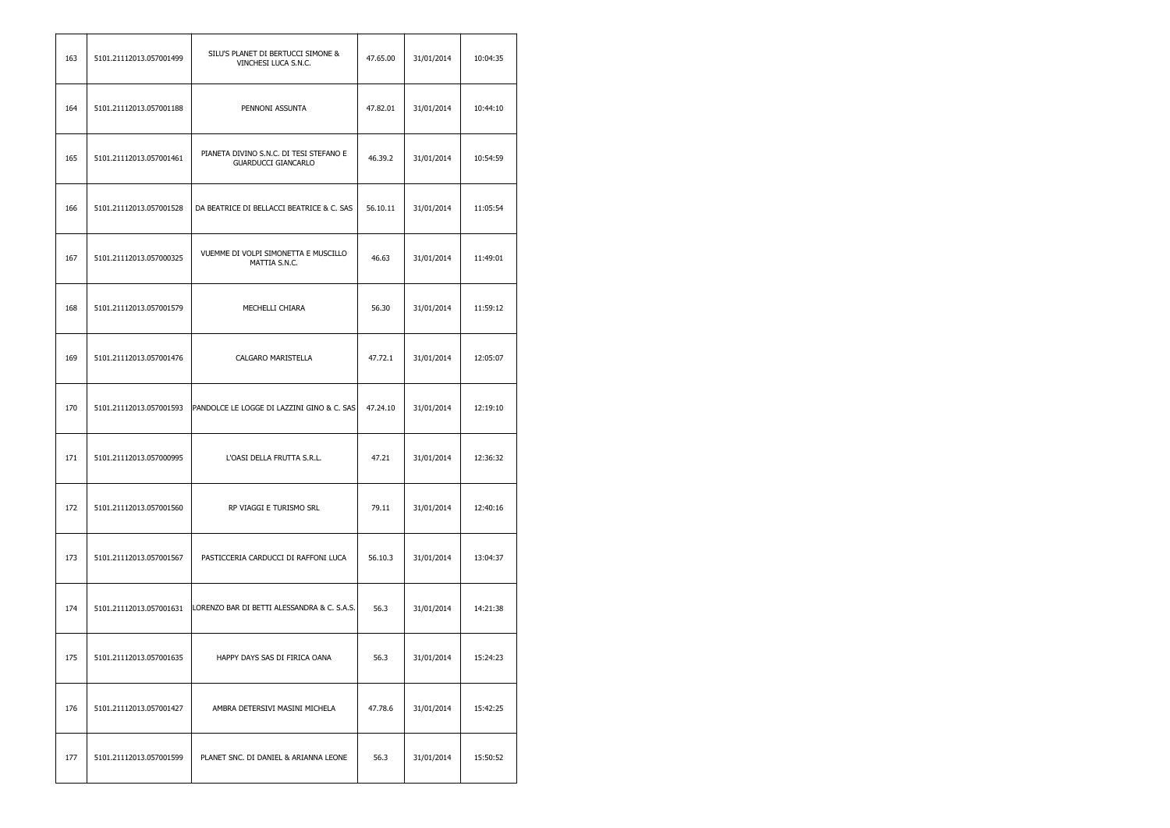| 163 | 5101.21112013.057001499 | SILU'S PLANET DI BERTUCCI SIMONE &<br>VINCHESI LUCA S.N.C.            | 47.65.00 | 31/01/2014 | 10:04:35 |
|-----|-------------------------|-----------------------------------------------------------------------|----------|------------|----------|
| 164 | 5101.21112013.057001188 | PENNONI ASSUNTA                                                       | 47.82.01 | 31/01/2014 | 10:44:10 |
| 165 | 5101.21112013.057001461 | PIANETA DIVINO S.N.C. DI TESI STEFANO E<br><b>GUARDUCCI GIANCARLO</b> | 46.39.2  | 31/01/2014 | 10:54:59 |
| 166 | 5101.21112013.057001528 | DA BEATRICE DI BELLACCI BEATRICE & C. SAS                             | 56.10.11 | 31/01/2014 | 11:05:54 |
| 167 | 5101.21112013.057000325 | VUEMME DI VOLPI SIMONETTA E MUSCILLO<br>MATTIA S.N.C.                 | 46.63    | 31/01/2014 | 11:49:01 |
| 168 | 5101.21112013.057001579 | MECHELLI CHIARA                                                       | 56.30    | 31/01/2014 | 11:59:12 |
| 169 | 5101.21112013.057001476 | CALGARO MARISTELLA                                                    | 47.72.1  | 31/01/2014 | 12:05:07 |
| 170 | 5101.21112013.057001593 | PANDOLCE LE LOGGE DI LAZZINI GINO & C. SAS                            | 47.24.10 | 31/01/2014 | 12:19:10 |
| 171 | 5101.21112013.057000995 | L'OASI DELLA FRUTTA S.R.L.                                            | 47.21    | 31/01/2014 | 12:36:32 |
| 172 | 5101.21112013.057001560 | RP VIAGGI E TURISMO SRL                                               | 79.11    | 31/01/2014 | 12:40:16 |
| 173 | 5101.21112013.057001567 | PASTICCERIA CARDUCCI DI RAFFONI LUCA                                  | 56.10.3  | 31/01/2014 | 13:04:37 |
| 174 | 5101.21112013.057001631 | LORENZO BAR DI BETTI ALESSANDRA & C. S.A.S.                           | 56.3     | 31/01/2014 | 14:21:38 |
| 175 | 5101.21112013.057001635 | HAPPY DAYS SAS DI FIRICA OANA                                         | 56.3     | 31/01/2014 | 15:24:23 |
| 176 | 5101.21112013.057001427 | AMBRA DETERSIVI MASINI MICHELA                                        | 47.78.6  | 31/01/2014 | 15:42:25 |
| 177 | 5101.21112013.057001599 | PLANET SNC. DI DANIEL & ARIANNA LEONE                                 | 56.3     | 31/01/2014 | 15:50:52 |